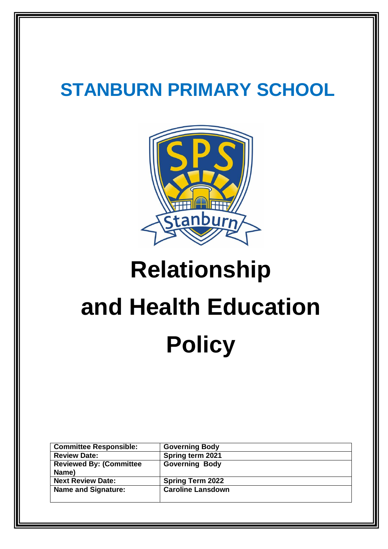# **STANBURN PRIMARY SCHOOL**



# **Relationship and Health Education Policy**

| <b>Committee Responsible:</b>            | <b>Governing Body</b>    |
|------------------------------------------|--------------------------|
| <b>Review Date:</b>                      | Spring term 2021         |
| <b>Reviewed By: (Committee)</b><br>Name) | <b>Governing Body</b>    |
| <b>Next Review Date:</b>                 | <b>Spring Term 2022</b>  |
| <b>Name and Signature:</b>               | <b>Caroline Lansdown</b> |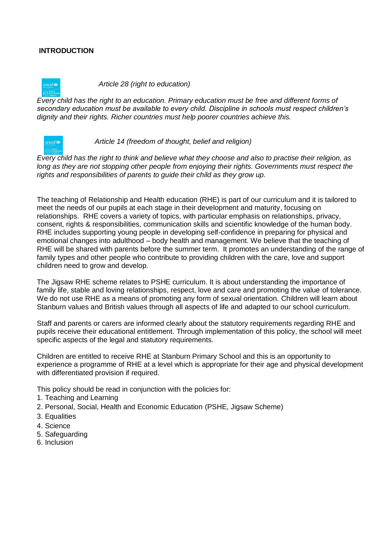#### **INTRODUCTION**

 *Article 28 (right to education)* 

*Every child has the right to an education. Primary education must be free and different forms of secondary education must be available to every child. Discipline in schools must respect children's dignity and their rights. Richer countries must help poorer countries achieve this.*



 *Article 14 (freedom of thought, belief and religion)* 

*Every child has the right to think and believe what they choose and also to practise their religion, as long as they are not stopping other people from enjoying their rights. Governments must respect the rights and responsibilities of parents to guide their child as they grow up.*

The teaching of Relationship and Health education (RHE) is part of our curriculum and it is tailored to meet the needs of our pupils at each stage in their development and maturity, focusing on relationships. RHE covers a variety of topics, with particular emphasis on relationships, privacy, consent, rights & responsibilities, communication skills and scientific knowledge of the human body. RHE includes supporting young people in developing self-confidence in preparing for physical and emotional changes into adulthood – body health and management. We believe that the teaching of RHE will be shared with parents before the summer term. It promotes an understanding of the range of family types and other people who contribute to providing children with the care, love and support children need to grow and develop.

The Jigsaw RHE scheme relates to PSHE curriculum. It is about understanding the importance of family life, stable and loving relationships, respect, love and care and promoting the value of tolerance. We do not use RHE as a means of promoting any form of sexual orientation. Children will learn about Stanburn values and British values through all aspects of life and adapted to our school curriculum.

Staff and parents or carers are informed clearly about the statutory requirements regarding RHE and pupils receive their educational entitlement. Through implementation of this policy, the school will meet specific aspects of the legal and statutory requirements.

Children are entitled to receive RHE at Stanburn Primary School and this is an opportunity to experience a programme of RHE at a level which is appropriate for their age and physical development with differentiated provision if required.

This policy should be read in conjunction with the policies for:

- 1. Teaching and Learning
- 2. Personal, Social, Health and Economic Education (PSHE, Jigsaw Scheme)
- 3. Equalities
- 4. Science
- 5. Safeguarding
- 6. Inclusion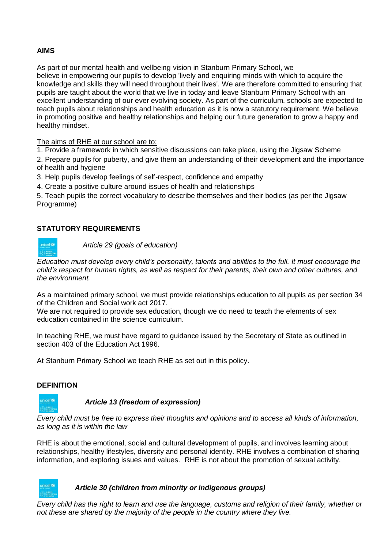#### **AIMS**

As part of our mental health and wellbeing vision in Stanburn Primary School, we believe in empowering our pupils to develop 'lively and enquiring minds with which to acquire the knowledge and skills they will need throughout their lives'. We are therefore committed to ensuring that pupils are taught about the world that we live in today and leave Stanburn Primary School with an excellent understanding of our ever evolving society. As part of the curriculum, schools are expected to teach pupils about relationships and health education as it is now a statutory requirement. We believe in promoting positive and healthy relationships and helping our future generation to grow a happy and healthy mindset.

The aims of RHE at our school are to:

1. Provide a framework in which sensitive discussions can take place, using the Jigsaw Scheme

2. Prepare pupils for puberty, and give them an understanding of their development and the importance of health and hygiene

3. Help pupils develop feelings of self-respect, confidence and empathy

4. Create a positive culture around issues of health and relationships

5. Teach pupils the correct vocabulary to describe themselves and their bodies (as per the Jigsaw Programme)

#### **STATUTORY REQUIREMENTS**



 *Article 29 (goals of education)* 

*Education must develop every child's personality, talents and abilities to the full. It must encourage the child's respect for human rights, as well as respect for their parents, their own and other cultures, and the environment.*

As a maintained primary school, we must provide relationships education to all pupils as per section 34 of the Children and Social work act 2017.

We are not required to provide sex education, though we do need to teach the elements of sex education contained in the science curriculum.

In teaching RHE, we must have regard to guidance issued by the Secretary of State as outlined in section 403 of the Education Act 1996.

At Stanburn Primary School we teach RHE as set out in this policy.

#### **DEFINITION**



 *Article 13 (freedom of expression)*

*Every child must be free to express their thoughts and opinions and to access all kinds of information, as long as it is within the law*

RHE is about the emotional, social and cultural development of pupils, and involves learning about relationships, healthy lifestyles, diversity and personal identity. RHE involves a combination of sharing information, and exploring issues and values. RHE is not about the promotion of sexual activity.

#### *Article 30 (children from minority or indigenous groups)*

*Every child has the right to learn and use the language, customs and religion of their family, whether or not these are shared by the majority of the people in the country where they live.*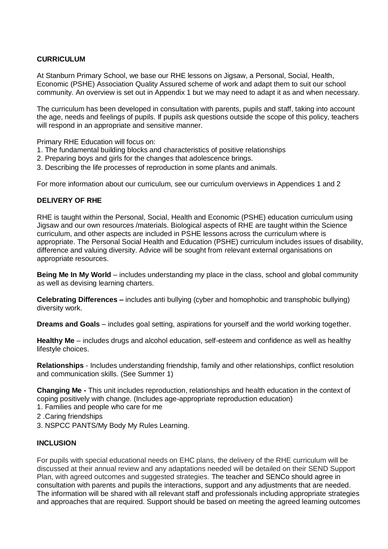#### **CURRICULUM**

At Stanburn Primary School, we base our RHE lessons on Jigsaw, a Personal, Social, Health, Economic (PSHE) Association Quality Assured scheme of work and adapt them to suit our school community. An overview is set out in Appendix 1 but we may need to adapt it as and when necessary.

The curriculum has been developed in consultation with parents, pupils and staff, taking into account the age, needs and feelings of pupils. If pupils ask questions outside the scope of this policy, teachers will respond in an appropriate and sensitive manner.

Primary RHE Education will focus on:

- 1. The fundamental building blocks and characteristics of positive relationships
- 2. Preparing boys and girls for the changes that adolescence brings.
- 3. Describing the life processes of reproduction in some plants and animals.

For more information about our curriculum, see our curriculum overviews in Appendices 1 and 2

#### **DELIVERY OF RHE**

RHE is taught within the Personal, Social, Health and Economic (PSHE) education curriculum using Jigsaw and our own resources /materials. Biological aspects of RHE are taught within the Science curriculum, and other aspects are included in PSHE lessons across the curriculum where is appropriate. The Personal Social Health and Education (PSHE) curriculum includes issues of disability, difference and valuing diversity. Advice will be sought from relevant external organisations on appropriate resources.

**Being Me In My World** – includes understanding my place in the class, school and global community as well as devising learning charters.

**Celebrating Differences –** includes anti bullying (cyber and homophobic and transphobic bullying) diversity work.

**Dreams and Goals** – includes goal setting, aspirations for yourself and the world working together.

**Healthy Me** – includes drugs and alcohol education, self-esteem and confidence as well as healthy lifestyle choices.

**Relationships** - Includes understanding friendship, family and other relationships, conflict resolution and communication skills. (See Summer 1)

**Changing Me -** This unit includes reproduction, relationships and health education in the context of coping positively with change. (Includes age-appropriate reproduction education)

- 1. Families and people who care for me
- 2 .Caring friendships
- 3. NSPCC PANTS/My Body My Rules Learning.

#### **INCLUSION**

For pupils with special educational needs on EHC plans, the delivery of the RHE curriculum will be discussed at their annual review and any adaptations needed will be detailed on their SEND Support Plan, with agreed outcomes and suggested strategies. The teacher and SENCo should agree in consultation with parents and pupils the interactions, support and any adjustments that are needed. The information will be shared with all relevant staff and professionals including appropriate strategies and approaches that are required. Support should be based on meeting the agreed learning outcomes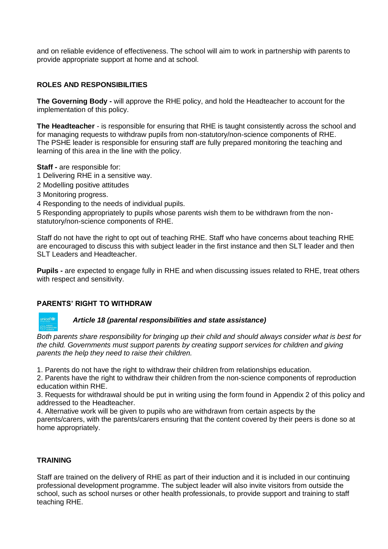and on reliable evidence of effectiveness. The school will aim to work in partnership with parents to provide appropriate support at home and at school.

#### **ROLES AND RESPONSIBILITIES**

**The Governing Body -** will approve the RHE policy, and hold the Headteacher to account for the implementation of this policy.

**The Headteacher** - is responsible for ensuring that RHE is taught consistently across the school and for managing requests to withdraw pupils from non-statutory/non-science components of RHE. The PSHE leader is responsible for ensuring staff are fully prepared monitoring the teaching and learning of this area in the line with the policy.

**Staff -** are responsible for:

- 1 Delivering RHE in a sensitive way.
- 2 Modelling positive attitudes
- 3 Monitoring progress.
- 4 Responding to the needs of individual pupils.

5 Responding appropriately to pupils whose parents wish them to be withdrawn from the nonstatutory/non-science components of RHE.

Staff do not have the right to opt out of teaching RHE. Staff who have concerns about teaching RHE are encouraged to discuss this with subject leader in the first instance and then SLT leader and then SLT Leaders and Headteacher.

**Pupils -** are expected to engage fully in RHE and when discussing issues related to RHE, treat others with respect and sensitivity.

#### **PARENTS' RIGHT TO WITHDRAW**

## *Article 18 (parental responsibilities and state assistance)*

*Both parents share responsibility for bringing up their child and should always consider what is best for the child. Governments must support parents by creating support services for children and giving parents the help they need to raise their children.*

1. Parents do not have the right to withdraw their children from relationships education.

2. Parents have the right to withdraw their children from the non-science components of reproduction education within RHE.

3. Requests for withdrawal should be put in writing using the form found in Appendix 2 of this policy and addressed to the Headteacher.

4. Alternative work will be given to pupils who are withdrawn from certain aspects by the parents/carers, with the parents/carers ensuring that the content covered by their peers is done so at home appropriately.

#### **TRAINING**

Staff are trained on the delivery of RHE as part of their induction and it is included in our continuing professional development programme. The subject leader will also invite visitors from outside the school, such as school nurses or other health professionals, to provide support and training to staff teaching RHE.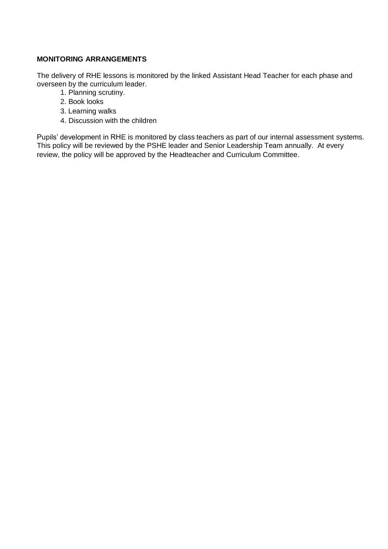#### **MONITORING ARRANGEMENTS**

The delivery of RHE lessons is monitored by the linked Assistant Head Teacher for each phase and overseen by the curriculum leader.

- 1. Planning scrutiny.
- 2. Book looks
- 3. Learning walks
- 4. Discussion with the children

Pupils' development in RHE is monitored by class teachers as part of our internal assessment systems. This policy will be reviewed by the PSHE leader and Senior Leadership Team annually. At every review, the policy will be approved by the Headteacher and Curriculum Committee.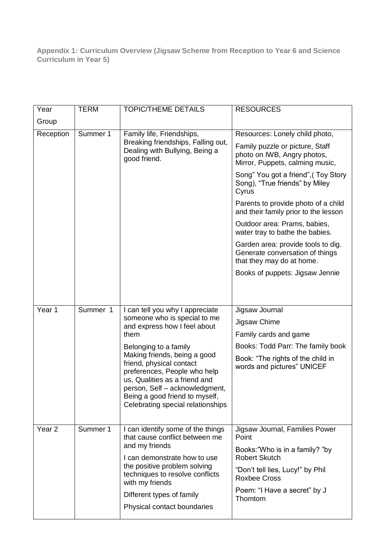**Appendix 1: Curriculum Overview (Jigsaw Scheme from Reception to Year 6 and Science Curriculum in Year 5)** 

| Year              | <b>TERM</b> | <b>TOPIC/THEME DETAILS</b>                                                                                                                                                                                                         | <b>RESOURCES</b>                                                                                   |
|-------------------|-------------|------------------------------------------------------------------------------------------------------------------------------------------------------------------------------------------------------------------------------------|----------------------------------------------------------------------------------------------------|
| Group             |             |                                                                                                                                                                                                                                    |                                                                                                    |
| Reception         | Summer 1    | Family life, Friendships,                                                                                                                                                                                                          | Resources: Lonely child photo,                                                                     |
|                   |             | Breaking friendships, Falling out,<br>Dealing with Bullying, Being a<br>good friend.                                                                                                                                               | Family puzzle or picture, Staff<br>photo on IWB, Angry photos,<br>Mirror, Puppets, calming music,  |
|                   |             |                                                                                                                                                                                                                                    | Song" You got a friend", (Toy Story<br>Song), "True friends" by Miley<br>Cyrus                     |
|                   |             |                                                                                                                                                                                                                                    | Parents to provide photo of a child<br>and their family prior to the lesson                        |
|                   |             |                                                                                                                                                                                                                                    | Outdoor area: Prams, babies,<br>water tray to bathe the babies.                                    |
|                   |             |                                                                                                                                                                                                                                    | Garden area: provide tools to dig.<br>Generate conversation of things<br>that they may do at home. |
|                   |             |                                                                                                                                                                                                                                    | Books of puppets: Jigsaw Jennie                                                                    |
|                   |             |                                                                                                                                                                                                                                    |                                                                                                    |
|                   |             |                                                                                                                                                                                                                                    |                                                                                                    |
| Year 1            | Summer 1    | I can tell you why I appreciate                                                                                                                                                                                                    | Jigsaw Journal                                                                                     |
|                   |             | someone who is special to me<br>and express how I feel about                                                                                                                                                                       | Jigsaw Chime                                                                                       |
|                   |             | them                                                                                                                                                                                                                               | Family cards and game                                                                              |
|                   |             | Belonging to a family                                                                                                                                                                                                              | Books: Todd Parr: The family book                                                                  |
|                   |             | Making friends, being a good<br>friend, physical contact<br>preferences, People who help<br>us, Qualities as a friend and<br>person, Self - acknowledgment,<br>Being a good friend to myself,<br>Celebrating special relationships | Book: "The rights of the child in<br>words and pictures" UNICEF                                    |
| Year <sub>2</sub> | Summer 1    | I can identify some of the things<br>that cause conflict between me                                                                                                                                                                | Jigsaw Journal, Families Power<br>Point                                                            |
|                   |             | and my friends                                                                                                                                                                                                                     | Books:"Who is in a family? "by                                                                     |
|                   |             | I can demonstrate how to use<br>the positive problem solving<br>techniques to resolve conflicts<br>with my friends<br>Different types of family                                                                                    | <b>Robert Skutch</b>                                                                               |
|                   |             |                                                                                                                                                                                                                                    | "Don't tell lies, Lucy!" by Phil<br><b>Roxbee Cross</b>                                            |
|                   |             |                                                                                                                                                                                                                                    | Poem: "I Have a secret" by J<br>Thomtom                                                            |
|                   |             | Physical contact boundaries                                                                                                                                                                                                        |                                                                                                    |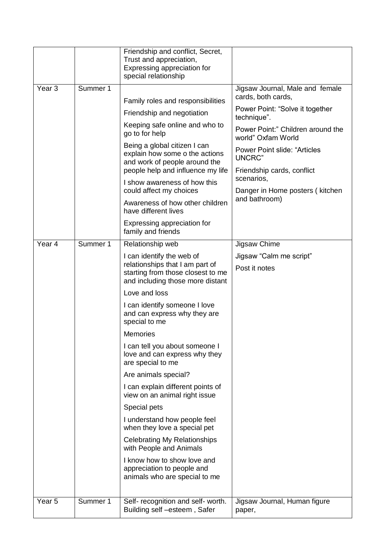|                   |                                               | Friendship and conflict, Secret,<br>Trust and appreciation,<br>Expressing appreciation for<br>special relationship                    |                                                                             |  |
|-------------------|-----------------------------------------------|---------------------------------------------------------------------------------------------------------------------------------------|-----------------------------------------------------------------------------|--|
| Year <sub>3</sub> | Summer 1<br>Family roles and responsibilities |                                                                                                                                       | Jigsaw Journal, Male and female<br>cards, both cards,                       |  |
|                   |                                               |                                                                                                                                       | Power Point: "Solve it together                                             |  |
|                   |                                               | Friendship and negotiation                                                                                                            | technique".                                                                 |  |
|                   |                                               | Keeping safe online and who to<br>go to for help                                                                                      | Power Point:" Children around the<br>world" Oxfam World                     |  |
|                   |                                               | Being a global citizen I can<br>explain how some o the actions<br>and work of people around the<br>people help and influence my life  | <b>Power Point slide: "Articles</b><br>UNCRC"<br>Friendship cards, conflict |  |
|                   |                                               | I show awareness of how this<br>could affect my choices                                                                               | scenarios,<br>Danger in Home posters (kitchen                               |  |
|                   |                                               | Awareness of how other children<br>have different lives                                                                               | and bathroom)                                                               |  |
|                   |                                               | Expressing appreciation for<br>family and friends                                                                                     |                                                                             |  |
| Year <sub>4</sub> | Summer 1                                      | Relationship web                                                                                                                      | Jigsaw Chime                                                                |  |
|                   |                                               | I can identify the web of<br>relationships that I am part of<br>starting from those closest to me<br>and including those more distant | Jigsaw "Calm me script"<br>Post it notes                                    |  |
|                   |                                               | Love and loss                                                                                                                         |                                                                             |  |
|                   |                                               | I can identify someone I love<br>and can express why they are<br>special to me                                                        |                                                                             |  |
|                   |                                               | <b>Memories</b>                                                                                                                       |                                                                             |  |
|                   |                                               | I can tell you about someone I<br>love and can express why they<br>are special to me                                                  |                                                                             |  |
|                   |                                               | Are animals special?                                                                                                                  |                                                                             |  |
|                   |                                               | I can explain different points of<br>view on an animal right issue                                                                    |                                                                             |  |
|                   |                                               | Special pets                                                                                                                          |                                                                             |  |
|                   |                                               | I understand how people feel<br>when they love a special pet                                                                          |                                                                             |  |
|                   |                                               | <b>Celebrating My Relationships</b><br>with People and Animals                                                                        |                                                                             |  |
|                   |                                               | I know how to show love and<br>appreciation to people and<br>animals who are special to me                                            |                                                                             |  |
| Year <sub>5</sub> | Summer 1                                      | Self- recognition and self- worth.<br>Building self -esteem, Safer                                                                    | Jigsaw Journal, Human figure<br>paper,                                      |  |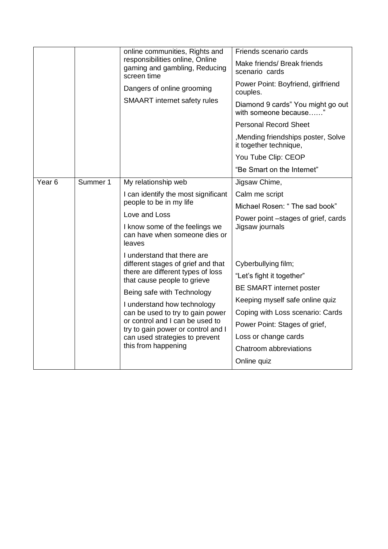|                   |                            | online communities, Rights and<br>responsibilities online, Online<br>gaming and gambling, Reducing<br>screen time                        | Friends scenario cards                                        |
|-------------------|----------------------------|------------------------------------------------------------------------------------------------------------------------------------------|---------------------------------------------------------------|
|                   |                            |                                                                                                                                          | Make friends/ Break friends<br>scenario cards                 |
|                   | Dangers of online grooming | Power Point: Boyfriend, girlfriend<br>couples.                                                                                           |                                                               |
|                   |                            | <b>SMAART</b> internet safety rules                                                                                                      | Diamond 9 cards" You might go out<br>with someone because"    |
|                   |                            |                                                                                                                                          | <b>Personal Record Sheet</b>                                  |
|                   |                            |                                                                                                                                          | , Mending friendships poster, Solve<br>it together technique, |
|                   |                            |                                                                                                                                          | You Tube Clip: CEOP                                           |
|                   |                            |                                                                                                                                          | "Be Smart on the Internet"                                    |
| Year <sub>6</sub> | Summer 1                   | My relationship web                                                                                                                      | Jigsaw Chime,                                                 |
|                   |                            | I can identify the most significant<br>people to be in my life                                                                           | Calm me script                                                |
|                   |                            |                                                                                                                                          | Michael Rosen: "The sad book"                                 |
|                   |                            | Love and Loss                                                                                                                            | Power point -stages of grief, cards                           |
|                   |                            | I know some of the feelings we<br>can have when someone dies or<br>leaves                                                                | Jigsaw journals                                               |
|                   |                            | I understand that there are<br>different stages of grief and that<br>there are different types of loss<br>that cause people to grieve    |                                                               |
|                   |                            |                                                                                                                                          | Cyberbullying film;                                           |
|                   |                            |                                                                                                                                          | "Let's fight it together"                                     |
|                   |                            | Being safe with Technology                                                                                                               | <b>BE SMART internet poster</b>                               |
|                   |                            | I understand how technology<br>can be used to try to gain power<br>or control and I can be used to<br>try to gain power or control and I | Keeping myself safe online quiz                               |
|                   |                            |                                                                                                                                          | Coping with Loss scenario: Cards                              |
|                   |                            |                                                                                                                                          | Power Point: Stages of grief,                                 |
|                   |                            | can used strategies to prevent                                                                                                           | Loss or change cards                                          |
|                   |                            | this from happening                                                                                                                      | Chatroom abbreviations                                        |
|                   |                            |                                                                                                                                          | Online quiz                                                   |